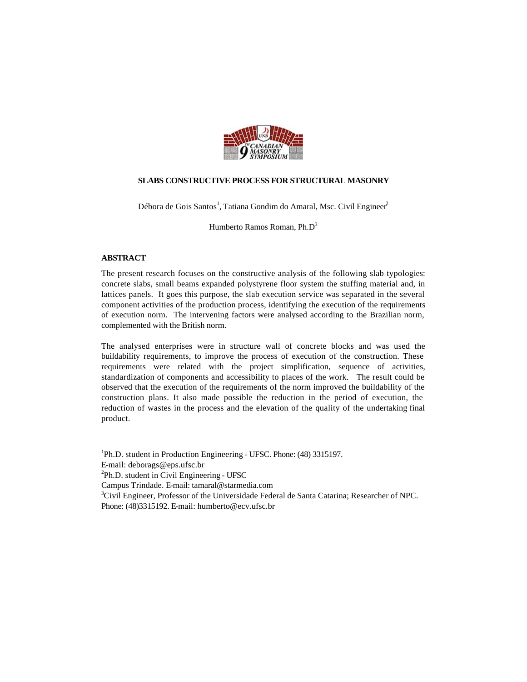

# **SLABS CONSTRUCTIVE PROCESS FOR STRUCTURAL MASONRY**

Débora de Gois Santos<sup>1</sup>, Tatiana Gondim do Amaral, Msc. Civil Engineer<sup>2</sup>

Humberto Ramos Roman, Ph.D<sup>3</sup>

## **ABSTRACT**

The present research focuses on the constructive analysis of the following slab typologies: concrete slabs, small beams expanded polystyrene floor system the stuffing material and, in lattices panels. It goes this purpose, the slab execution service was separated in the several component activities of the production process, identifying the execution of the requirements of execution norm. The intervening factors were analysed according to the Brazilian norm, complemented with the British norm.

The analysed enterprises were in structure wall of concrete blocks and was used the buildability requirements, to improve the process of execution of the construction. These requirements were related with the project simplification, sequence of activities, standardization of components and accessibility to places of the work. The result could be observed that the execution of the requirements of the norm improved the buildability of the construction plans. It also made possible the reduction in the period of execution, the reduction of wastes in the process and the elevation of the quality of the undertaking final product.

<sup>1</sup>Ph.D. student in Production Engineering - UFSC. Phone: (48) 3315197. E-mail: deborags@eps.ufsc.br <sup>2</sup>Ph.D. student in Civil Engineering - UFSC Campus Trindade. E-mail: tamaral@starmedia.com <sup>3</sup>Civil Engineer, Professor of the Universidade Federal de Santa Catarina; Researcher of NPC. Phone: (48)3315192. E-mail: humberto@ecv.ufsc.br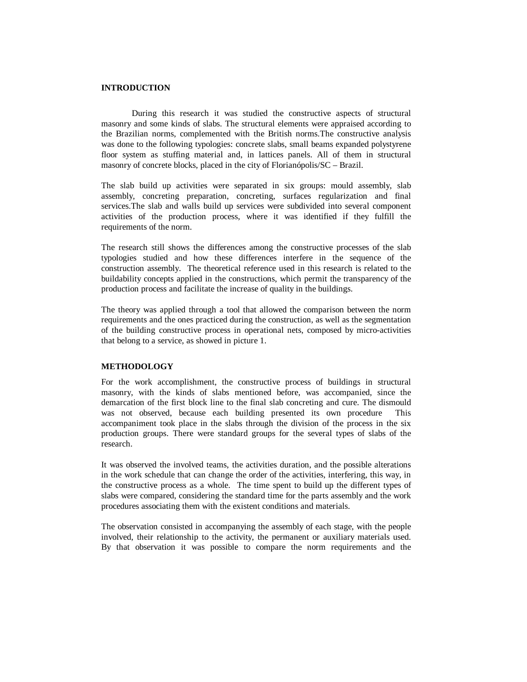# **INTRODUCTION**

During this research it was studied the constructive aspects of structural masonry and some kinds of slabs. The structural elements were appraised according to the Brazilian norms, complemented with the British norms.The constructive analysis was done to the following typologies: concrete slabs, small beams expanded polystyrene floor system as stuffing material and, in lattices panels. All of them in structural masonry of concrete blocks, placed in the city of Florianópolis/SC – Brazil.

The slab build up activities were separated in six groups: mould assembly, slab assembly, concreting preparation, concreting, surfaces regularization and final services.The slab and walls build up services were subdivided into several component activities of the production process, where it was identified if they fulfill the requirements of the norm.

The research still shows the differences among the constructive processes of the slab typologies studied and how these differences interfere in the sequence of the construction assembly. The theoretical reference used in this research is related to the buildability concepts applied in the constructions, which permit the transparency of the production process and facilitate the increase of quality in the buildings.

The theory was applied through a tool that allowed the comparison between the norm requirements and the ones practiced during the construction, as well as the segmentation of the building constructive process in operational nets, composed by micro-activities that belong to a service, as showed in picture 1.

#### **METHODOLOGY**

For the work accomplishment, the constructive process of buildings in structural masonry, with the kinds of slabs mentioned before, was accompanied, since the demarcation of the first block line to the final slab concreting and cure. The dismould was not observed, because each building presented its own procedure This accompaniment took place in the slabs through the division of the process in the six production groups. There were standard groups for the several types of slabs of the research.

It was observed the involved teams, the activities duration, and the possible alterations in the work schedule that can change the order of the activities, interfering, this way, in the constructive process as a whole. The time spent to build up the different types of slabs were compared, considering the standard time for the parts assembly and the work procedures associating them with the existent conditions and materials.

The observation consisted in accompanying the assembly of each stage, with the people involved, their relationship to the activity, the permanent or auxiliary materials used. By that observation it was possible to compare the norm requirements and the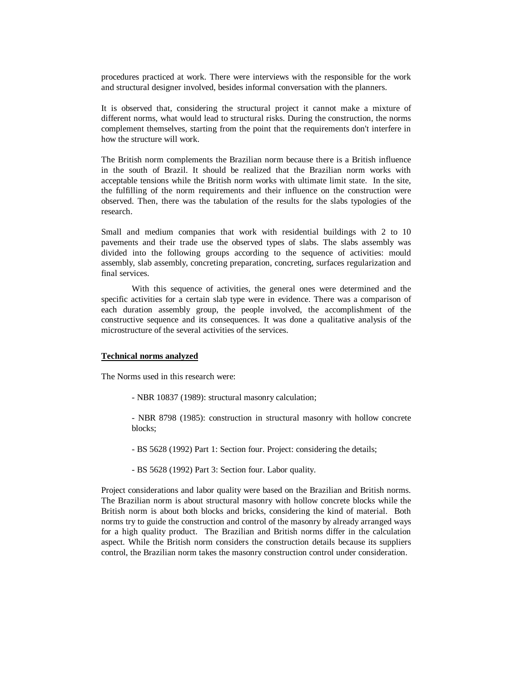procedures practiced at work. There were interviews with the responsible for the work and structural designer involved, besides informal conversation with the planners.

It is observed that, considering the structural project it cannot make a mixture of different norms, what would lead to structural risks. During the construction, the norms complement themselves, starting from the point that the requirements don't interfere in how the structure will work.

The British norm complements the Brazilian norm because there is a British influence in the south of Brazil. It should be realized that the Brazilian norm works with acceptable tensions while the British norm works with ultimate limit state. In the site, the fulfilling of the norm requirements and their influence on the construction were observed. Then, there was the tabulation of the results for the slabs typologies of the research.

Small and medium companies that work with residential buildings with 2 to 10 pavements and their trade use the observed types of slabs. The slabs assembly was divided into the following groups according to the sequence of activities: mould assembly, slab assembly, concreting preparation, concreting, surfaces regularization and final services.

With this sequence of activities, the general ones were determined and the specific activities for a certain slab type were in evidence. There was a comparison of each duration assembly group, the people involved, the accomplishment of the constructive sequence and its consequences. It was done a qualitative analysis of the microstructure of the several activities of the services.

#### **Technical norms analyzed**

The Norms used in this research were:

- NBR 10837 (1989): structural masonry calculation;

- NBR 8798 (1985): construction in structural masonry with hollow concrete blocks;

- BS 5628 (1992) Part 1: Section four. Project: considering the details;
- BS 5628 (1992) Part 3: Section four. Labor quality.

Project considerations and labor quality were based on the Brazilian and British norms. The Brazilian norm is about structural masonry with hollow concrete blocks while the British norm is about both blocks and bricks, considering the kind of material. Both norms try to guide the construction and control of the masonry by already arranged ways for a high quality product. The Brazilian and British norms differ in the calculation aspect. While the British norm considers the construction details because its suppliers control, the Brazilian norm takes the masonry construction control under consideration.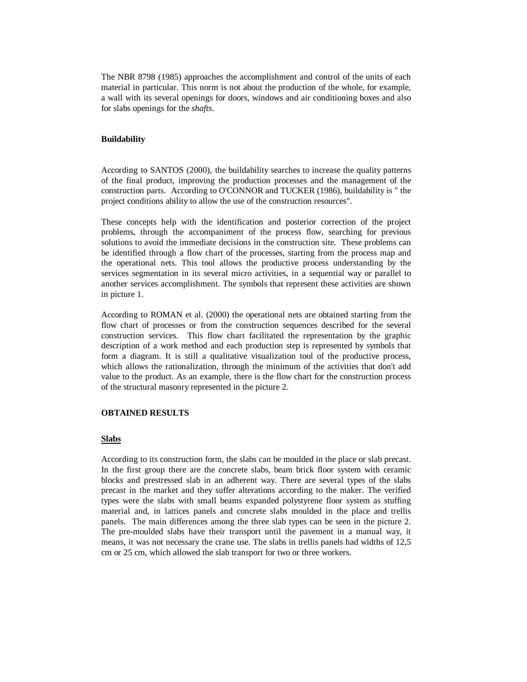The NBR 8798 (1985) approaches the accomplishment and control of the units of each material in particular. This norm is not about the production of the whole, for example, a wall with its several openings for doors, windows and air conditioning boxes and also for slabs openings for the *shafts*.

## **Buildability**

According to SANTOS (2000), the buildability searches to increase the quality patterns of the final product, improving the production processes and the management of the construction parts. According to O'CONNOR and TUCKER (1986), buildability is " the project conditions ability to allow the use of the construction resources".

These concepts help with the identification and posterior correction of the project problems, through the accompaniment of the process flow, searching for previous solutions to avoid the immediate decisions in the construction site. These problems can be identified through a flow chart of the processes, starting from the process map and the operational nets. This tool allows the productive process understanding by the services segmentation in its several micro activities, in a sequential way or parallel to another services accomplishment. The symbols that represent these activities are shown in picture 1.

According to ROMAN et al. (2000) the operational nets are obtained starting from the flow chart of processes or from the construction sequences described for the several construction services. This flow chart facilitated the representation by the graphic description of a work method and each production step is represented by symbols that form a diagram. It is still a qualitative visualization tool of the productive process, which allows the rationalization, through the minimum of the activities that don't add value to the product. As an example, there is the flow chart for the construction process of the structural masonry represented in the picture 2.

## **OBTAINED RESULTS**

#### **Slabs**

According to its construction form, the slabs can be moulded in the place or slab precast. In the first group there are the concrete slabs, beam brick floor system with ceramic blocks and prestressed slab in an adherent way. There are several types of the slabs precast in the market and they suffer alterations according to the maker. The verified types were the slabs with small beams expanded polystyrene floor system as stuffing material and, in lattices panels and concrete slabs moulded in the place and trellis panels. The main differences among the three slab types can be seen in the picture 2. The pre-moulded slabs have their transport until the pavement in a manual way, it means, it was not necessary the crane use. The slabs in trellis panels had widths of 12,5 cm or 25 cm, which allowed the slab transport for two or three workers.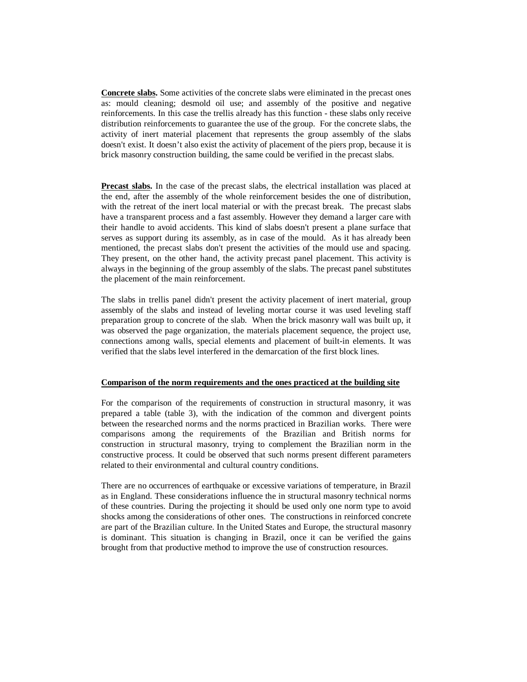**Concrete slabs.** Some activities of the concrete slabs were eliminated in the precast ones as: mould cleaning; desmold oil use; and assembly of the positive and negative reinforcements. In this case the trellis already has this function - these slabs only receive distribution reinforcements to guarantee the use of the group. For the concrete slabs, the activity of inert material placement that represents the group assembly of the slabs doesn't exist. It doesn't also exist the activity of placement of the piers prop, because it is brick masonry construction building, the same could be verified in the precast slabs.

**Precast slabs.** In the case of the precast slabs, the electrical installation was placed at the end, after the assembly of the whole reinforcement besides the one of distribution, with the retreat of the inert local material or with the precast break. The precast slabs have a transparent process and a fast assembly. However they demand a larger care with their handle to avoid accidents. This kind of slabs doesn't present a plane surface that serves as support during its assembly, as in case of the mould. As it has already been mentioned, the precast slabs don't present the activities of the mould use and spacing. They present, on the other hand, the activity precast panel placement. This activity is always in the beginning of the group assembly of the slabs. The precast panel substitutes the placement of the main reinforcement.

The slabs in trellis panel didn't present the activity placement of inert material, group assembly of the slabs and instead of leveling mortar course it was used leveling staff preparation group to concrete of the slab. When the brick masonry wall was built up, it was observed the page organization, the materials placement sequence, the project use, connections among walls, special elements and placement of built-in elements. It was verified that the slabs level interfered in the demarcation of the first block lines.

## **Comparison of the norm requirements and the ones practiced at the building site**

For the comparison of the requirements of construction in structural masonry, it was prepared a table (table 3), with the indication of the common and divergent points between the researched norms and the norms practiced in Brazilian works. There were comparisons among the requirements of the Brazilian and British norms for construction in structural masonry, trying to complement the Brazilian norm in the constructive process. It could be observed that such norms present different parameters related to their environmental and cultural country conditions.

There are no occurrences of earthquake or excessive variations of temperature, in Brazil as in England. These considerations influence the in structural masonry technical norms of these countries. During the projecting it should be used only one norm type to avoid shocks among the considerations of other ones. The constructions in reinforced concrete are part of the Brazilian culture. In the United States and Europe, the structural masonry is dominant. This situation is changing in Brazil, once it can be verified the gains brought from that productive method to improve the use of construction resources.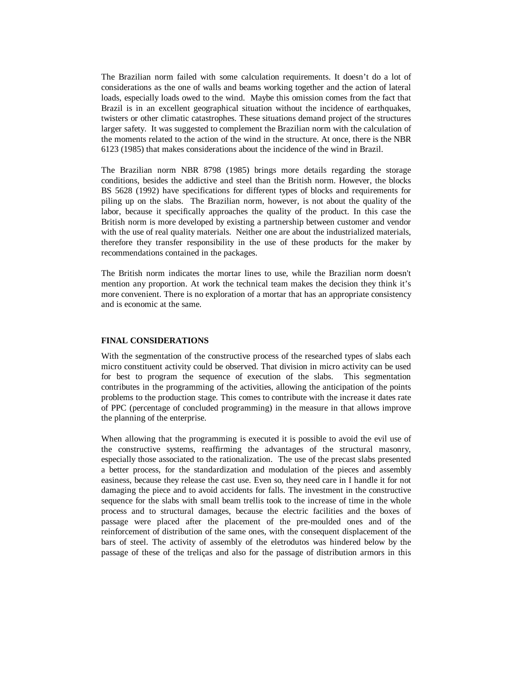The Brazilian norm failed with some calculation requirements. It doesn't do a lot of considerations as the one of walls and beams working together and the action of lateral loads, especially loads owed to the wind. Maybe this omission comes from the fact that Brazil is in an excellent geographical situation without the incidence of earthquakes, twisters or other climatic catastrophes. These situations demand project of the structures larger safety. It was suggested to complement the Brazilian norm with the calculation of the moments related to the action of the wind in the structure. At once, there is the NBR 6123 (1985) that makes considerations about the incidence of the wind in Brazil.

The Brazilian norm NBR 8798 (1985) brings more details regarding the storage conditions, besides the addictive and steel than the British norm. However, the blocks BS 5628 (1992) have specifications for different types of blocks and requirements for piling up on the slabs. The Brazilian norm, however, is not about the quality of the labor, because it specifically approaches the quality of the product. In this case the British norm is more developed by existing a partnership between customer and vendor with the use of real quality materials. Neither one are about the industrialized materials, therefore they transfer responsibility in the use of these products for the maker by recommendations contained in the packages.

The British norm indicates the mortar lines to use, while the Brazilian norm doesn't mention any proportion. At work the technical team makes the decision they think it's more convenient. There is no exploration of a mortar that has an appropriate consistency and is economic at the same.

#### **FINAL CONSIDERATIONS**

With the segmentation of the constructive process of the researched types of slabs each micro constituent activity could be observed. That division in micro activity can be used for best to program the sequence of execution of the slabs. This segmentation contributes in the programming of the activities, allowing the anticipation of the points problems to the production stage. This comes to contribute with the increase it dates rate of PPC (percentage of concluded programming) in the measure in that allows improve the planning of the enterprise.

When allowing that the programming is executed it is possible to avoid the evil use of the constructive systems, reaffirming the advantages of the structural masonry, especially those associated to the rationalization. The use of the precast slabs presented a better process, for the standardization and modulation of the pieces and assembly easiness, because they release the cast use. Even so, they need care in I handle it for not damaging the piece and to avoid accidents for falls. The investment in the constructive sequence for the slabs with small beam trellis took to the increase of time in the whole process and to structural damages, because the electric facilities and the boxes of passage were placed after the placement of the pre-moulded ones and of the reinforcement of distribution of the same ones, with the consequent displacement of the bars of steel. The activity of assembly of the eletrodutos was hindered below by the passage of these of the treliças and also for the passage of distribution armors in this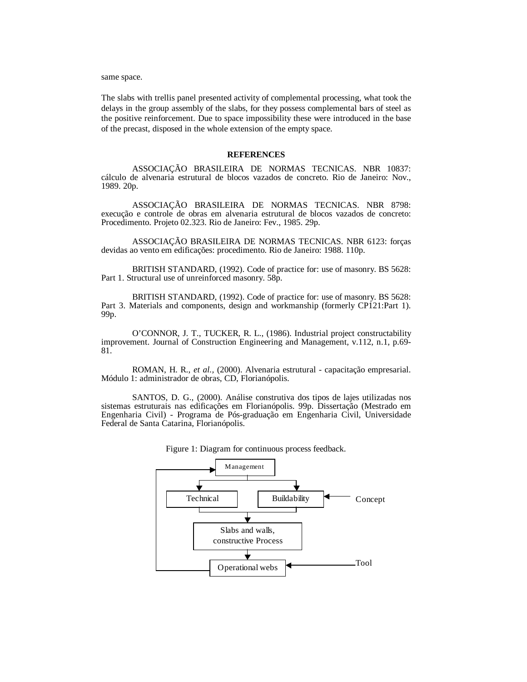same space.

The slabs with trellis panel presented activity of complemental processing, what took the delays in the group assembly of the slabs, for they possess complemental bars of steel as the positive reinforcement. Due to space impossibility these were introduced in the base of the precast, disposed in the whole extension of the empty space.

#### **REFERENCES**

ASSOCIAÇÃO BRASILEIRA DE NORMAS TECNICAS. NBR 10837: cálculo de alvenaria estrutural de blocos vazados de concreto. Rio de Janeiro: Nov., 1989. 20p.

ASSOCIAÇÃO BRASILEIRA DE NORMAS TECNICAS. NBR 8798: execução e controle de obras em alvenaria estrutural de blocos vazados de concreto: Procedimento. Projeto 02.323. Rio de Janeiro: Fev., 1985. 29p.

ASSOCIAÇÃO BRASILEIRA DE NORMAS TECNICAS. NBR 6123: forças devidas ao vento em edificações: procedimento. Rio de Janeiro: 1988. 110p.

BRITISH STANDARD, (1992). Code of practice for: use of masonry. BS 5628: Part 1. Structural use of unreinforced masonry. 58p.

 BRITISH STANDARD, (1992). Code of practice for: use of masonry. BS 5628: Part 3. Materials and components, design and workmanship (formerly CP121:Part 1). 99p.

 O'CONNOR, J. T., TUCKER, R. L., (1986). Industrial project constructability improvement. Journal of Construction Engineering and Management, v.112, n.1, p.69- 81.

ROMAN, H. R., *et al.,* (2000). Alvenaria estrutural - capacitação empresarial. Módulo 1: administrador de obras, CD, Florianópolis.

 SANTOS, D. G., (2000). Análise construtiva dos tipos de lajes utilizadas nos sistemas estruturais nas edificações em Florianópolis. 99p. Dissertação (Mestrado em Engenharia Civil) - Programa de Pós-graduação em Engenharia Civil, Universidade Federal de Santa Catarina, Florianópolis.



Figure 1: Diagram for continuous process feedback.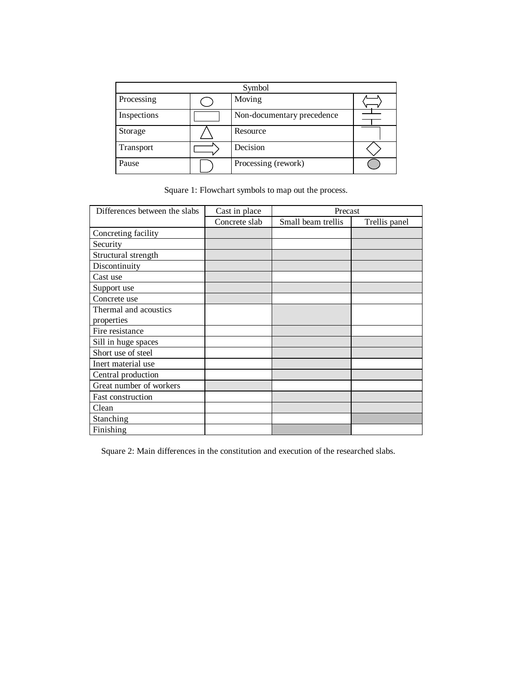| Symbol      |  |                            |  |  |
|-------------|--|----------------------------|--|--|
| Processing  |  | Moving                     |  |  |
| Inspections |  | Non-documentary precedence |  |  |
| Storage     |  | Resource                   |  |  |
| Transport   |  | Decision                   |  |  |
| Pause       |  | Processing (rework)        |  |  |

Square 1: Flowchart symbols to map out the process.

| Differences between the slabs | Cast in place | Precast            |               |
|-------------------------------|---------------|--------------------|---------------|
|                               | Concrete slab | Small beam trellis | Trellis panel |
| Concreting facility           |               |                    |               |
| Security                      |               |                    |               |
| Structural strength           |               |                    |               |
| Discontinuity                 |               |                    |               |
| Cast use                      |               |                    |               |
| Support use                   |               |                    |               |
| Concrete use                  |               |                    |               |
| Thermal and acoustics         |               |                    |               |
| properties                    |               |                    |               |
| Fire resistance               |               |                    |               |
| Sill in huge spaces           |               |                    |               |
| Short use of steel            |               |                    |               |
| Inert material use            |               |                    |               |
| Central production            |               |                    |               |
| Great number of workers       |               |                    |               |
| Fast construction             |               |                    |               |
| Clean                         |               |                    |               |
| Stanching                     |               |                    |               |
| Finishing                     |               |                    |               |

Square 2: Main differences in the constitution and execution of the researched slabs.